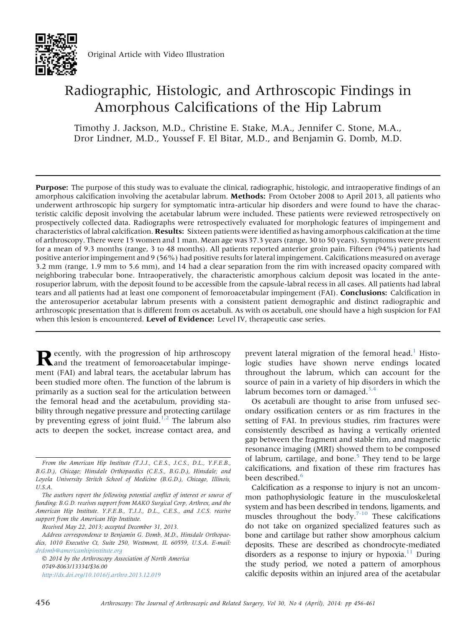

Original Article with Video Illustration

# Radiographic, Histologic, and Arthroscopic Findings in Amorphous Calcifications of the Hip Labrum

Timothy J. Jackson, M.D., Christine E. Stake, M.A., Jennifer C. Stone, M.A., Dror Lindner, M.D., Youssef F. El Bitar, M.D., and Benjamin G. Domb, M.D.

**Purpose:** The purpose of this study was to evaluate the clinical, radiographic, histologic, and intraoperative findings of an amorphous calcification involving the acetabular labrum. **Methods:** From October 2008 to April 2013, all patients who underwent arthroscopic hip surgery for symptomatic intra-articular hip disorders and were found to have the characteristic calcific deposit involving the acetabular labrum were included. These patients were reviewed retrospectively on prospectively collected data. Radiographs were retrospectively evaluated for morphologic features of impingement and characteristics of labral calcification. Results: Sixteen patients were identified as having amorphous calcification at the time of arthroscopy. There were 15 women and 1 man. Mean age was 37.3 years (range, 30 to 50 years). Symptoms were present for a mean of 9.3 months (range, 3 to 48 months). All patients reported anterior groin pain. Fifteen (94%) patients had positive anterior impingement and 9 (56%) had positive results for lateral impingement. Calcifications measured on average 3.2 mm (range, 1.9 mm to 5.6 mm), and 14 had a clear separation from the rim with increased opacity compared with neighboring trabecular bone. Intraoperatively, the characteristic amorphous calcium deposit was located in the anterosuperior labrum, with the deposit found to be accessible from the capsule-labral recess in all cases. All patients had labral tears and all patients had at least one component of femoroacetabular impingement (FAI). Conclusions: Calcification in the anterosuperior acetabular labrum presents with a consistent patient demographic and distinct radiographic and arthroscopic presentation that is different from os acetabuli. As with os acetabuli, one should have a high suspicion for FAI when this lesion is encountered. Level of Evidence: Level IV, therapeutic case series.

Recently, with the progression of hip arthroscopy and the treatment of femoroacetabular impingement (FAI) and labral tears, the acetabular labrum has been studied more often. The function of the labrum is primarily as a suction seal for the articulation between the femoral head and the acetabulum, providing stability through negative pressure and protecting cartilage by preventing egress of joint fluid.<sup>[1,2](#page-5-0)</sup> The labrum also acts to deepen the socket, increase contact area, and

 2014 by the Arthroscopy Association of North America 0749-8063/13334/\$36.00 <http://dx.doi.org/10.1016/j.arthro.2013.12.019>

prevent lateral migration of the femoral head.<sup>1</sup> Histologic studies have shown nerve endings located throughout the labrum, which can account for the source of pain in a variety of hip disorders in which the labrum becomes torn or damaged. $3,4$ 

Os acetabuli are thought to arise from unfused secondary ossification centers or as rim fractures in the setting of FAI. In previous studies, rim fractures were consistently described as having a vertically oriented gap between the fragment and stable rim, and magnetic resonance imaging (MRI) showed them to be composed of labrum, cartilage, and bone. $5$  They tend to be large calcifications, and fixation of these rim fractures has been described.<sup>[6](#page-5-0)</sup>

Calcification as a response to injury is not an uncommon pathophysiologic feature in the musculoskeletal system and has been described in tendons, ligaments, and muscles throughout the body.<sup>7-10</sup> These calcifications do not take on organized specialized features such as bone and cartilage but rather show amorphous calcium deposits. These are described as chondrocyte-mediated disorders as a response to injury or hypoxia. $^{11}$  During the study period, we noted a pattern of amorphous calcific deposits within an injured area of the acetabular

From the American Hip Institute (T.J.J., C.E.S., J.C.S., D.L., Y.F.E.B., B.G.D.), Chicago; Hinsdale Orthopaedics (C.E.S., B.G.D.), Hinsdale; and Loyola University Stritch School of Medicine (B.G.D.), Chicago, Illinois, U.S.A.

The authors report the following potential conflict of interest or source of funding: B.G.D. receives support from MAKO Surgical Corp, Arthrex, and the American Hip Institute. Y.F.E.B., T.J.J., D.L., C.E.S., and J.C.S. receive support from the American Hip Institute.

Received May 22, 2013; accepted December 31, 2013.

Address correspondence to Benjamin G. Domb, M.D., Hinsdale Orthopaedics, 1010 Executive Ct, Suite 250, Westmont, IL 60559, U.S.A. E-mail: [drdomb@americanhipinstitute.org](mailto:drdomb@americanhipinstitute.org)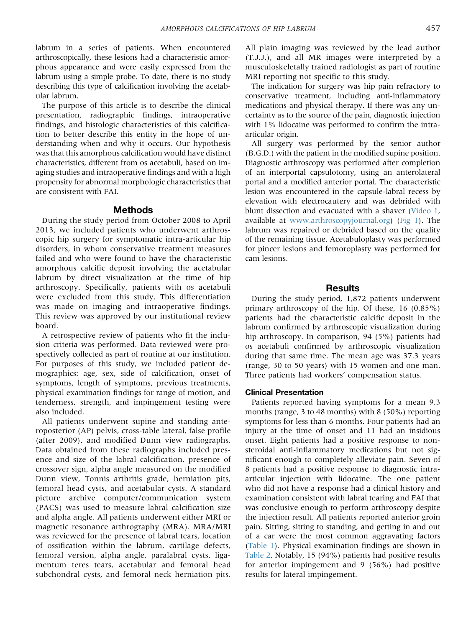labrum in a series of patients. When encountered arthroscopically, these lesions had a characteristic amorphous appearance and were easily expressed from the labrum using a simple probe. To date, there is no study describing this type of calcification involving the acetabular labrum.

The purpose of this article is to describe the clinical presentation, radiographic findings, intraoperative findings, and histologic characteristics of this calcification to better describe this entity in the hope of understanding when and why it occurs. Our hypothesis was that this amorphous calcification would have distinct characteristics, different from os acetabuli, based on imaging studies and intraoperative findings and with a high propensity for abnormal morphologic characteristics that are consistent with FAI.

# Methods

During the study period from October 2008 to April 2013, we included patients who underwent arthroscopic hip surgery for symptomatic intra-articular hip disorders, in whom conservative treatment measures failed and who were found to have the characteristic amorphous calcific deposit involving the acetabular labrum by direct visualization at the time of hip arthroscopy. Specifically, patients with os acetabuli were excluded from this study. This differentiation was made on imaging and intraoperative findings. This review was approved by our institutional review board.

A retrospective review of patients who fit the inclusion criteria was performed. Data reviewed were prospectively collected as part of routine at our institution. For purposes of this study, we included patient demographics: age, sex, side of calcification, onset of symptoms, length of symptoms, previous treatments, physical examination findings for range of motion, and tenderness. strength, and impingement testing were also included.

All patients underwent supine and standing anteroposterior (AP) pelvis, cross-table lateral, false profile (after 2009), and modified Dunn view radiographs. Data obtained from these radiographs included presence and size of the labral calcification, presence of crossover sign, alpha angle measured on the modified Dunn view, Tonnis arthritis grade, herniation pits, femoral head cysts, and acetabular cysts. A standard picture archive computer/communication system (PACS) was used to measure labral calcification size and alpha angle. All patients underwent either MRI or magnetic resonance arthrography (MRA). MRA/MRI was reviewed for the presence of labral tears, location of ossification within the labrum, cartilage defects, femoral version, alpha angle, paralabral cysts, ligamentum teres tears, acetabular and femoral head subchondral cysts, and femoral neck herniation pits.

All plain imaging was reviewed by the lead author (T.J.J.), and all MR images were interpreted by a musculoskeletally trained radiologist as part of routine MRI reporting not specific to this study.

The indication for surgery was hip pain refractory to conservative treatment, including anti-inflammatory medications and physical therapy. If there was any uncertainty as to the source of the pain, diagnostic injection with 1% lidocaine was performed to confirm the intraarticular origin.

All surgery was performed by the senior author (B.G.D.) with the patient in the modified supine position. Diagnostic arthroscopy was performed after completion of an interportal capsulotomy, using an anterolateral portal and a modified anterior portal. The characteristic lesion was encountered in the capsule-labral recess by elevation with electrocautery and was debrided with blunt dissection and evacuated with a shaver (Video 1, available at [www.arthroscopyjournal.org\)](http://www.arthroscopyjournal.org) [\(Fig 1](#page-2-0)). The labrum was repaired or debrided based on the quality of the remaining tissue. Acetabuloplasty was performed for pincer lesions and femoroplasty was performed for cam lesions.

# **Results**

During the study period, 1,872 patients underwent primary arthroscopy of the hip. Of these, 16 (0.85%) patients had the characteristic calcific deposit in the labrum confirmed by arthroscopic visualization during hip arthroscopy. In comparison, 94 (5%) patients had os acetabuli confirmed by arthroscopic visualization during that same time. The mean age was 37.3 years (range, 30 to 50 years) with 15 women and one man. Three patients had workers' compensation status.

#### Clinical Presentation

Patients reported having symptoms for a mean 9.3 months (range, 3 to 48 months) with 8 (50%) reporting symptoms for less than 6 months. Four patients had an injury at the time of onset and 11 had an insidious onset. Eight patients had a positive response to nonsteroidal anti-inflammatory medications but not significant enough to completely alleviate pain. Seven of 8 patients had a positive response to diagnostic intraarticular injection with lidocaine. The one patient who did not have a response had a clinical history and examination consistent with labral tearing and FAI that was conclusive enough to perform arthroscopy despite the injection result. All patients reported anterior groin pain. Sitting, sitting to standing, and getting in and out of a car were the most common aggravating factors ([Table 1\)](#page-2-0). Physical examination findings are shown in [Table 2.](#page-2-0) Notably, 15 (94%) patients had positive results for anterior impingement and 9 (56%) had positive results for lateral impingement.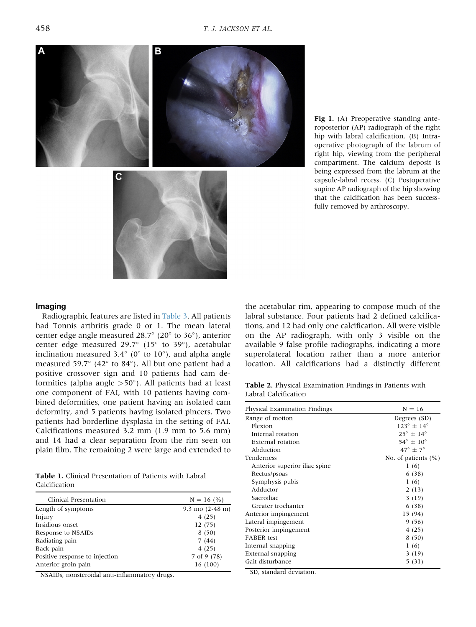<span id="page-2-0"></span>

Fig 1. (A) Preoperative standing anteroposterior (AP) radiograph of the right hip with labral calcification. (B) Intraoperative photograph of the labrum of right hip, viewing from the peripheral compartment. The calcium deposit is being expressed from the labrum at the capsule-labral recess. (C) Postoperative supine AP radiograph of the hip showing that the calcification has been successfully removed by arthroscopy.

# Imaging

Radiographic features are listed in [Table 3.](#page-3-0) All patients had Tonnis arthritis grade 0 or 1. The mean lateral center edge angle measured  $28.7^{\circ}$  (20 $^{\circ}$  to 36 $^{\circ}$ ), anterior center edge measured 29.7 $\degree$  (15 $\degree$  to 39 $\degree$ ), acetabular inclination measured 3.4 $\degree$  (0 $\degree$  to 10 $\degree$ ), and alpha angle measured 59.7 $\degree$  (42 $\degree$  to 84 $\degree$ ). All but one patient had a positive crossover sign and 10 patients had cam deformities (alpha angle  $>50^{\circ}$ ). All patients had at least one component of FAI, with 10 patients having combined deformities, one patient having an isolated cam deformity, and 5 patients having isolated pincers. Two patients had borderline dysplasia in the setting of FAI. Calcifications measured 3.2 mm (1.9 mm to 5.6 mm) and 14 had a clear separation from the rim seen on plain film. The remaining 2 were large and extended to

Table 1. Clinical Presentation of Patients with Labral Calcification

| Clinical Presentation          | $N = 16$ (%)                      |
|--------------------------------|-----------------------------------|
| Length of symptoms             | $9.3 \text{ mo} (2-48 \text{ m})$ |
| Injury                         | 4(25)                             |
| Insidious onset                | 12(75)                            |
| Response to NSAIDs             | 8(50)                             |
| Radiating pain                 | 7(44)                             |
| Back pain                      | 4(25)                             |
| Positive response to injection | 7 of 9 (78)                       |
| Anterior groin pain            | 16 (100)                          |

NSAIDs, nonsteroidal anti-inflammatory drugs.

the acetabular rim, appearing to compose much of the labral substance. Four patients had 2 defined calcifications, and 12 had only one calcification. All were visible on the AP radiograph, with only 3 visible on the available 9 false profile radiographs, indicating a more superolateral location rather than a more anterior location. All calcifications had a distinctly different

Table 2. Physical Examination Findings in Patients with Labral Calcification

| Physical Examination Findings | $N = 16$                     |
|-------------------------------|------------------------------|
| Range of motion               | Degrees (SD)                 |
| Flexion                       | $123^{\circ} \pm 14^{\circ}$ |
| Internal rotation             | $25^\circ \pm 14^\circ$      |
| External rotation             | $54^{\circ} + 10^{\circ}$    |
| Abduction                     | $47^{\circ} \pm 7^{\circ}$   |
| Tenderness                    | No. of patients $(\% )$      |
| Anterior superior iliac spine | 1(6)                         |
| Rectus/psoas                  | 6(38)                        |
| Symphysis pubis               | 1(6)                         |
| Adductor                      | 2(13)                        |
| Sacroiliac                    | 3(19)                        |
| Greater trochanter            | 6(38)                        |
| Anterior impingement          | 15 (94)                      |
| Lateral impingement           | 9(56)                        |
| Posterior impingement         | 4 (25)                       |
| <b>FABER</b> test             | 8(50)                        |
| Internal snapping             | 1(6)                         |
| External snapping             | 3(19)                        |
| Gait disturbance              | 5(31)                        |

SD, standard deviation.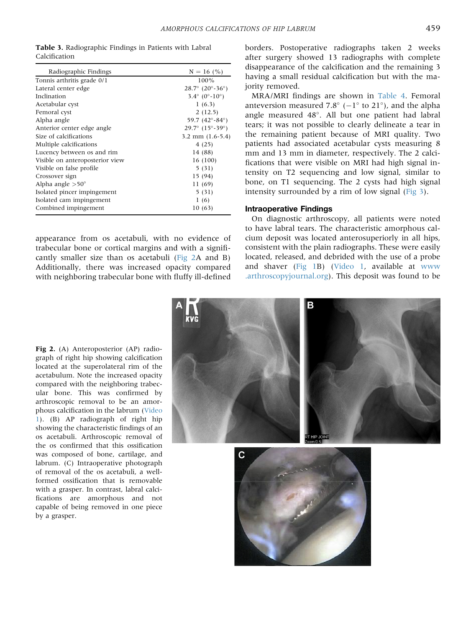<span id="page-3-0"></span>Table 3. Radiographic Findings in Patients with Labral Calcification

| Radiographic Findings           | $N = 16$ (%)                                   |
|---------------------------------|------------------------------------------------|
| Tonnis arthritis grade 0/1      | 100%                                           |
| Lateral center edge             | $28.7^{\circ}$ (20 $^{\circ}$ -36 $^{\circ}$ ) |
| Inclination                     | 3.4° $(0^{\circ} - 10^{\circ})$                |
| Acetabular cyst                 | 1(6.3)                                         |
| Femoral cyst                    | 2(12.5)                                        |
| Alpha angle                     | 59.7 $(42^{\circ} - 84^{\circ})$               |
| Anterior center edge angle      | $29.7^{\circ}$ (15 $^{\circ}$ -39 $^{\circ}$ ) |
| Size of calcifications          | 3.2 mm $(1.6-5.4)$                             |
| Multiple calcifications         | 4 (25)                                         |
| Lucency between os and rim      | 14 (88)                                        |
| Visible on anteroposterior view | 16 (100)                                       |
| Visible on false profile        | 5(31)                                          |
| Crossover sign                  | 15 (94)                                        |
| Alpha angle $>50^\circ$         | 11 (69)                                        |
| Isolated pincer impingement     | 5(31)                                          |
| Isolated cam impingement        | 1(6)                                           |
| Combined impingement            | 10(63)                                         |

appearance from os acetabuli, with no evidence of trabecular bone or cortical margins and with a significantly smaller size than os acetabuli (Fig 2A and B) Additionally, there was increased opacity compared with neighboring trabecular bone with fluffy ill-defined

by a grasper.

borders. Postoperative radiographs taken 2 weeks after surgery showed 13 radiographs with complete disappearance of the calcification and the remaining 3 having a small residual calcification but with the majority removed.

MRA/MRI findings are shown in [Table 4.](#page-4-0) Femoral anteversion measured 7.8 $^{\circ}$  (-1 $^{\circ}$  to 21 $^{\circ}$ ), and the alpha angle measured 48°. All but one patient had labral tears; it was not possible to clearly delineate a tear in the remaining patient because of MRI quality. Two patients had associated acetabular cysts measuring 8 mm and 13 mm in diameter, respectively. The 2 calcifications that were visible on MRI had high signal intensity on T2 sequencing and low signal, similar to bone, on T1 sequencing. The 2 cysts had high signal intensity surrounded by a rim of low signal ([Fig 3\)](#page-4-0).

#### Intraoperative Findings

On diagnostic arthroscopy, all patients were noted to have labral tears. The characteristic amorphous calcium deposit was located anterosuperiorly in all hips, consistent with the plain radiographs. These were easily located, released, and debrided with the use of a probe and shaver [\(Fig 1](#page-2-0)B) (Video 1, available at [www](http://www.arthroscopyjournal.org) [.arthroscopyjournal.org\)](http://www.arthroscopyjournal.org). This deposit was found to be

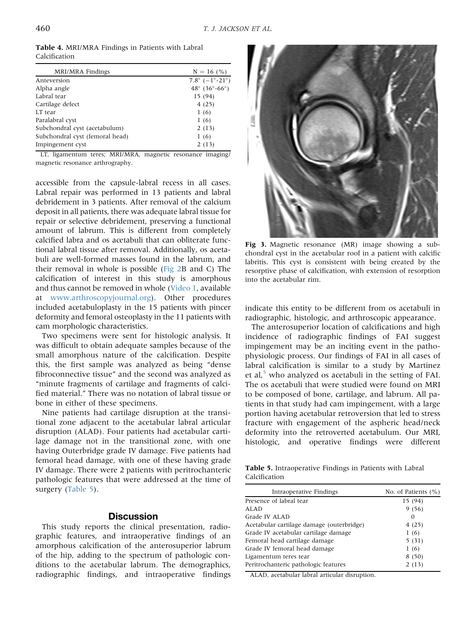<span id="page-4-0"></span>

|               | Table 4. MRI/MRA Findings in Patients with Labral |  |  |  |
|---------------|---------------------------------------------------|--|--|--|
| Calcification |                                                   |  |  |  |

| MRI/MRA Findings                | $N = 16$ (%)                                   |
|---------------------------------|------------------------------------------------|
| Anteversion                     | 7.8 $^{\circ}$ (-1 $^{\circ}$ -21 $^{\circ}$ ) |
| Alpha angle                     | 48 $\degree$ (36 $\degree$ -66 $\degree$ )     |
| Labral tear                     | 15 (94)                                        |
| Cartilage defect                | 4(25)                                          |
| LT tear                         | 1(6)                                           |
| Paralabral cyst                 | 1(6)                                           |
| Subchondral cyst (acetabulum)   | 2(13)                                          |
| Subchondral cyst (femoral head) | 1(6)                                           |
| Impingement cyst                | 2(13)                                          |

LT, ligamentum teres; MRI/MRA, magnetic resonance imaging/ magnetic resonance arthrography.

accessible from the capsule-labral recess in all cases. Labral repair was performed in 13 patients and labral debridement in 3 patients. After removal of the calcium deposit in all patients, there was adequate labral tissue for repair or selective debridement, preserving a functional amount of labrum. This is different from completely calcified labra and os acetabuli that can obliterate functional labral tissue after removal. Additionally, os acetabuli are well-formed masses found in the labrum, and their removal in whole is possible [\(Fig 2](#page-3-0)B and C) The calcification of interest in this study is amorphous and thus cannot be removed in whole (Video 1, available at [www.arthroscopyjournal.org](http://www.arthroscopyjournal.org)). Other procedures included acetabuloplasty in the 15 patients with pincer deformity and femoral osteoplasty in the 11 patients with cam morphologic characteristics.

Two specimens were sent for histologic analysis. It was difficult to obtain adequate samples because of the small amorphous nature of the calcification. Despite this, the first sample was analyzed as being "dense fibroconnective tissue" and the second was analyzed as "minute fragments of cartilage and fragments of calcified material." There was no notation of labral tissue or bone in either of these specimens.

Nine patients had cartilage disruption at the transitional zone adjacent to the acetabular labral articular disruption (ALAD). Four patients had acetabular cartilage damage not in the transitional zone, with one having Outerbridge grade IV damage. Five patients had femoral head damage, with one of these having grade IV damage. There were 2 patients with peritrochanteric pathologic features that were addressed at the time of surgery (Table 5).

#### **Discussion**

This study reports the clinical presentation, radiographic features, and intraoperative findings of an amorphous calcification of the anterosuperior labrum of the hip, adding to the spectrum of pathologic conditions to the acetabular labrum. The demographics, radiographic findings, and intraoperative findings



Fig 3. Magnetic resonance (MR) image showing a subchondral cyst in the acetabular roof in a patient with calcific labritis. This cyst is consistent with being created by the resorptive phase of calcification, with extension of resorption into the acetabular rim.

indicate this entity to be different from os acetabuli in radiographic, histologic, and arthroscopic appearance.

The anterosuperior location of calcifications and high incidence of radiographic findings of FAI suggest impingement may be an inciting event in the pathophysiologic process. Our findings of FAI in all cases of labral calcification is similar to a study by Martinez et al, $5$  who analyzed os acetabuli in the setting of FAI. The os acetabuli that were studied were found on MRI to be composed of bone, cartilage, and labrum. All patients in that study had cam impingement, with a large portion having acetabular retroversion that led to stress fracture with engagement of the aspheric head/neck deformity into the retroverted acetabulum. Our MRI, histologic, and operative findings were different

Table 5. Intraoperative Findings in Patients with Labral Calcification

| Intraoperative Findings                   | No. of Patients (%) |
|-------------------------------------------|---------------------|
| Presence of labral tear                   | 15 (94)             |
| ALAD                                      | 9(56)               |
| Grade IV ALAD                             | $\Omega$            |
| Acetabular cartilage damage (outerbridge) | 4 (25)              |
| Grade IV acetabular cartilage damage      | 1(6)                |
| Femoral head cartilage damage             | 5(31)               |
| Grade IV femoral head damage              | 1(6)                |
| Ligamentum teres tear                     | 8(50)               |
| Peritrochanteric pathologic features      | 2(13)               |

ALAD, acetabular labral articular disruption.